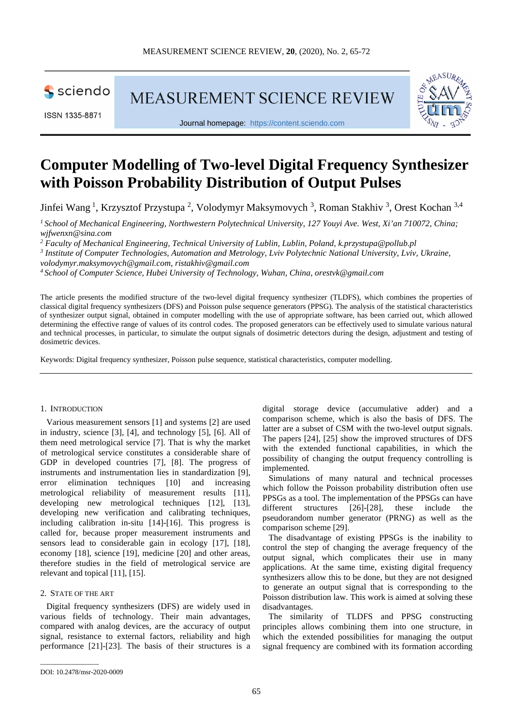sciendo

ISSN 1335-8871

MEASUREMENT SCIENCE REVIEW



Journal homepage: [https://content.sciendo.com](https://content.sciendo.com/view/journals/msr/msr-overview.xml)

# **Computer Modelling of Two-level Digital Frequency Synthesizer with Poisson Probability Distribution of Output Pulses**

Jinfei Wang<sup>1</sup>, Krzysztof Przystupa<sup>2</sup>, Volodymyr Maksymovych<sup>3</sup>, Roman Stakhiv<sup>3</sup>, Orest Kochan<sup>3,4</sup>

*1 School of Mechanical Engineering, Northwestern Polytechnical University, 127 Youyi Ave. West, Xi'an 710072, China; [wjfwenxn@sina.com](mailto:wjfwenxn@sina.com)*

*<sup>2</sup> Faculty of Mechanical Engineering, Technical University of Lublin, Lublin, Poland, [k.przystupa@pollub.pl](mailto:k.przystupa@pollub.pl)*

*<sup>3</sup> Institute of Computer Technologies, Automation and Metrology, Lviv Polytechnic National University, Lviv, Ukraine,* 

*volodymyr.maksymovych@gmail.com, ristakhiv@gmail.com*

*<sup>4</sup> School of Computer Science, Hubei University of Technology, Wuhan, China, orestvk@gmail.com*

The article presents the modified structure of the two-level digital frequency synthesizer (TLDFS), which combines the properties of classical digital frequency synthesizers (DFS) and Poisson pulse sequence generators (PPSG). The analysis of the statistical characteristics of synthesizer output signal, obtained in computer modelling with the use of appropriate software, has been carried out, which allowed determining the effective range of values of its control codes. The proposed generators can be effectively used to simulate various natural and technical processes, in particular, to simulate the output signals of dosimetric detectors during the design, adjustment and testing of dosimetric devices.

Keywords: Digital frequency synthesizer, Poisson pulse sequence, statistical characteristics, computer modelling.

# 1. INTRODUCTION

Various measurement sensors [1] and systems [2] are used in industry, science [3], [4], and technology [5], [6]. All of them need metrological service [7]. That is why the market of metrological service constitutes a considerable share of GDP in developed countries [7], [8]. The progress of instruments and instrumentation lies in standardization [9], error elimination techniques [10] and increasing metrological reliability of measurement results [11], developing new metrological techniques [12], [13], developing new verification and calibrating techniques, including calibration in-situ [14]-[16]. This progress is called for, because proper measurement instruments and sensors lead to considerable gain in ecology [17], [18], economy [18], science [19], medicine [20] and other areas, therefore studies in the field of metrological service are relevant and topical [11], [15].

#### 2. STATE OF THE ART

Digital frequency synthesizers (DFS) are widely used in various fields of technology. Their main advantages, compared with analog devices, are the accuracy of output signal, resistance to external factors, reliability and high performance [21]-[23]. The basis of their structures is a digital storage device (accumulative adder) and a comparison scheme, which is also the basis of DFS. The latter are a subset of CSM with the two-level output signals. The papers [24], [25] show the improved structures of DFS with the extended functional capabilities, in which the possibility of changing the output frequency controlling is implemented.

Simulations of many natural and technical processes which follow the Poisson probability distribution often use PPSGs as a tool. The implementation of the PPSGs can have different structures [26]-[28], these include the pseudorandom number generator (PRNG) as well as the comparison scheme [29].

The disadvantage of existing PPSGs is the inability to control the step of changing the average frequency of the output signal, which complicates their use in many applications. At the same time, existing digital frequency synthesizers allow this to be done, but they are not designed to generate an output signal that is corresponding to the Poisson distribution law. This work is aimed at solving these disadvantages.

The similarity of TLDFS and PPSG constructing principles allows combining them into one structure, in which the extended possibilities for managing the output signal frequency are combined with its formation according

\_\_\_\_\_\_\_\_\_\_\_\_\_\_\_\_\_

DOI: 10.2478/msr-2020-0009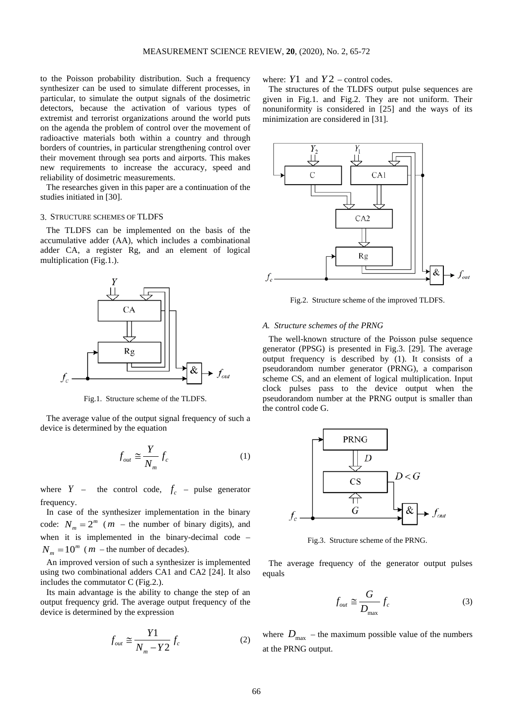to the Poisson probability distribution. Such a frequency synthesizer can be used to simulate different processes, in particular, to simulate the output signals of the dosimetric detectors, because the activation of various types of extremist and terrorist organizations around the world puts on the agenda the problem of control over the movement of radioactive materials both within a country and through borders of countries, in particular strengthening control over their movement through sea ports and airports. This makes new requirements to increase the accuracy, speed and reliability of dosimetric measurements.

The researches given in this paper are a continuation of the studies initiated in [30].

#### 3. STRUCTURE SCHEMES OF TLDFS

The TLDFS can be implemented on the basis of the accumulative adder (AA), which includes a combinational adder CA, a register Rg, and an element of logical multiplication (Fig.1.).



Fig.1. Structure scheme of the TLDFS.

The average value of the output signal frequency of such a device is determined by the equation

$$
f_{out} \cong \frac{Y}{N_m} f_c \tag{1}
$$

where  $Y$  – the control code,  $f_c$  – pulse generator frequency.

In case of the synthesizer implementation in the binary code:  $N_m = 2^m$  (*m* – the number of binary digits), and when it is implemented in the binary-decimal code –  $N_m = 10^m$  (*m* – the number of decades).

An improved version of such a synthesizer is implemented using two combinational adders CA1 and CA2 [24]. It also includes the commutator C (Fig.2.).

Its main advantage is the ability to change the step of an output frequency grid. The average output frequency of the device is determined by the expression

$$
f_{out} \cong \frac{Y1}{N_m - Y2} f_c \tag{2}
$$

where:  $Y1$  and  $Y2$  – control codes.

The structures of the TLDFS output pulse sequences are given in Fig.1. and Fig.2. They are not uniform. Their nonuniformity is considered in [25] and the ways of its minimization are considered in [31].



Fig.2. Structure scheme of the improved TLDFS.

#### *A. Structure schemes of the PRNG*

The well-known structure of the Poisson pulse sequence generator (PPSG) is presented in Fig.3. [29]. The average output frequency is described by (1). It consists of a pseudorandom number generator (PRNG), a comparison scheme CS, and an element of logical multiplication. Input clock pulses pass to the device output when the pseudorandom number at the PRNG output is smaller than the control code G.



Fig.3. Structure scheme of the PRNG.

The average frequency of the generator output pulses equals

$$
f_{out} \cong \frac{G}{D_{\text{max}}} f_c \tag{3}
$$

where  $D_{\text{max}}$  – the maximum possible value of the numbers at the PRNG output.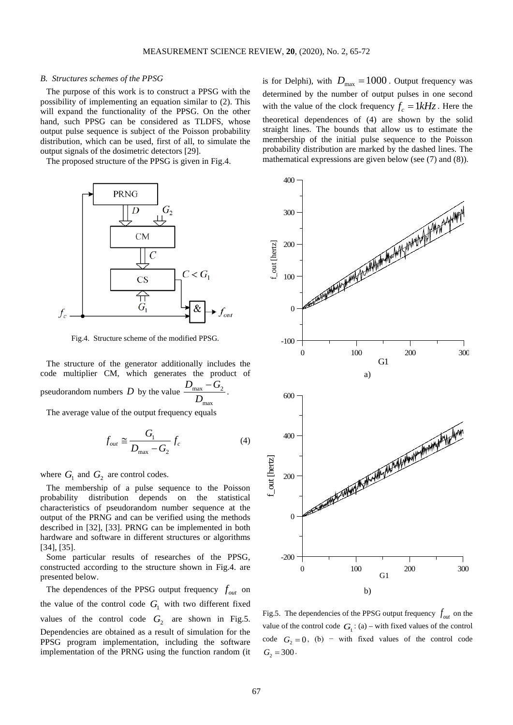#### *B. Structures schemes of the PPSG*

The purpose of this work is to construct a PPSG with the possibility of implementing an equation similar to (2). This will expand the functionality of the PPSG. On the other hand, such PPSG can be considered as TLDFS, whose output pulse sequence is subject of the Poisson probability distribution, which can be used, first of all, to simulate the output signals of the dosimetric detectors [29].

The proposed structure of the PPSG is given in Fig.4.



Fig.4. Structure scheme of the modified PPSG.

The structure of the generator additionally includes the code multiplier CM, which generates the product of pseudorandom numbers D by the value  $\frac{D_{\text{max}}}{D_{\text{max}}}$ max  $D_{\text{max}} - G$ *D*  $-\frac{G_2}{\cdots}$ .

The average value of the output frequency equals

$$
f_{out} \cong \frac{G_1}{D_{\text{max}} - G_2} f_c \tag{4}
$$

where  $G_1$  and  $G_2$  are control codes.

The membership of a pulse sequence to the Poisson probability distribution depends on the statistical characteristics of pseudorandom number sequence at the output of the PRNG and can be verified using the methods described in [32], [33]. PRNG can be implemented in both hardware and software in different structures or algorithms [34], [35].

Some particular results of researches of the PPSG, constructed according to the structure shown in Fig.4. are presented below.

The dependences of the PPSG output frequency  $f_{out}$  on the value of the control code  $G_1$  with two different fixed values of the control code  $G_2$  are shown in Fig.5. Dependencies are obtained as a result of simulation for the PPSG program implementation, including the software implementation of the PRNG using the function random (it is for Delphi), with  $D_{\text{max}} = 1000$ . Output frequency was determined by the number of output pulses in one second with the value of the clock frequency  $f_c = 1kHz$ . Here the theoretical dependences of (4) are shown by the solid straight lines. The bounds that allow us to estimate the membership of the initial pulse sequence to the Poisson probability distribution are marked by the dashed lines. The mathematical expressions are given below (see (7) and (8)).



Fig.5. The dependencies of the PPSG output frequency  $f_{out}$  on the value of the control code  $G_1$ : (a) – with fixed values of the control code  $G_2 = 0$ , (b) − with fixed values of the control code  $G_2 = 300$ .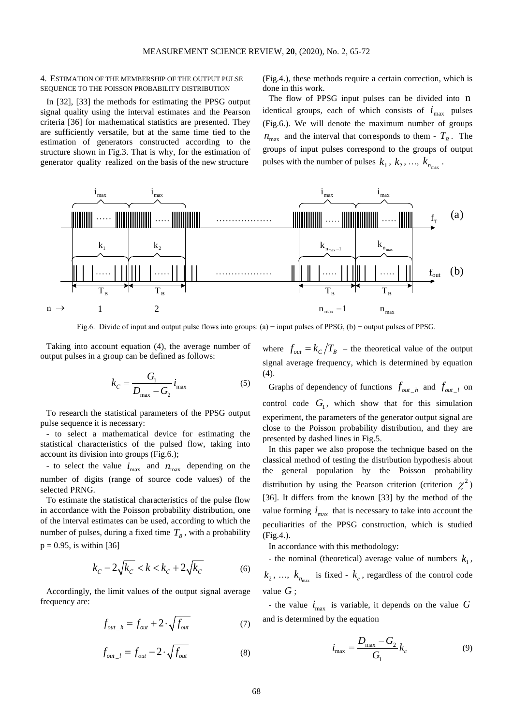### 4. ESTIMATION OF THE MEMBERSHIP OF THE OUTPUT PULSE SEQUENCE TO THE POISSON PROBABILITY DISTRIBUTION

In [32], [33] the methods for estimating the PPSG output signal quality using the interval estimates and the Pearson criteria [36] for mathematical statistics are presented. They are sufficiently versatile, but at the same time tied to the estimation of generators constructed according to the structure shown in Fig.3. That is why, for the estimation of generator quality realized on the basis of the new structure

(Fig.4.), these methods require a certain correction, which is done in this work.

The flow of PPSG input pulses can be divided into n identical groups, each of which consists of  $i_{\text{max}}$  pulses (Fig.6.). We will denote the maximum number of groups  $n_{\text{max}}$  and the interval that corresponds to them -  $T_B$ . The groups of input pulses correspond to the groups of output pulses with the number of pulses  $k_1, k_2, ..., k_{n_{max}}$ .



Fig.6. Divide of input and output pulse flows into groups: (а) − input pulses of PPSG, (b) − output pulses of PPSG.

Taking into account equation (4), the average number of output pulses in a group can be defined as follows:

$$
k_C = \frac{G_1}{D_{\text{max}} - G_2} i_{\text{max}} \tag{5}
$$

To research the statistical parameters of the PPSG output pulse sequence it is necessary:

- to select a mathematical device for estimating the statistical characteristics of the pulsed flow, taking into account its division into groups (Fig.6.);

- to select the value  $i_{\text{max}}$  and  $n_{\text{max}}$  depending on the number of digits (range of source code values) of the selected PRNG.

To estimate the statistical characteristics of the pulse flow in accordance with the Poisson probability distribution, one of the interval estimates can be used, according to which the number of pulses, during a fixed time  $T_B$ , with a probability  $p = 0.95$ , is within [36]

$$
k_C - 2\sqrt{k_C} < k < k_C + 2\sqrt{k_C} \tag{6}
$$

Accordingly, the limit values of the output signal average frequency are:

$$
f_{out_{-}h} = f_{out} + 2 \cdot \sqrt{f_{out}}
$$
 (7)

$$
f_{out\_l} = f_{out} - 2 \cdot \sqrt{f_{out}}
$$
 (8)

where  $f_{out} = k_C / T_B$  – the theoretical value of the output signal average frequency, which is determined by equation  $(4).$ 

Graphs of dependency of functions  $f_{out-h}$  and  $f_{out-l}$  on control code  $G_1$ , which show that for this simulation experiment, the parameters of the generator output signal are close to the Poisson probability distribution, and they are presented by dashed lines in Fig.5.

In this paper we also propose the technique based on the classical method of testing the distribution hypothesis about the general population by the Poisson probability distribution by using the Pearson criterion (criterion  $\chi^2$ ) [36]. It differs from the known [33] by the method of the value forming  $i_{\text{max}}$  that is necessary to take into account the peculiarities of the PPSG construction, which is studied (Fig.4.).

In accordance with this methodology:

- the nominal (theoretical) average value of numbers  $k_1$ ,  $k_2$ , ...,  $k_{n_{\text{max}}}$  is fixed -  $k_c$ , regardless of the control code value *G* ;

- the value  $i_{\text{max}}$  is variable, it depends on the value *G* and is determined by the equation

$$
i_{\max} = \frac{D_{\max} - G_2}{G_1} k_c
$$
 (9)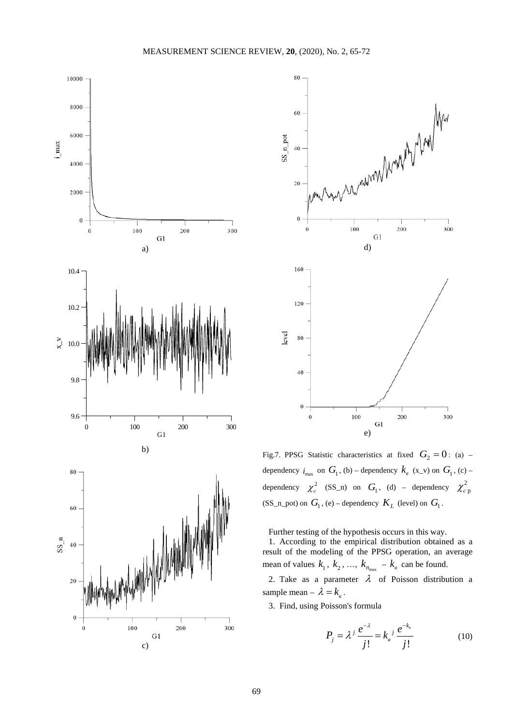



Fig.7. PPSG Statistic characteristics at fixed  $G_2 = 0$ : (a) – dependency  $i_{\text{max}}$  on  $G_1$ , (b) – dependency  $k_g$  (x\_v) on  $G_1$ , (c) – dependency  $\chi_c^2$  (SS\_n) on  $G_1$ , (d) – dependency  $\chi_{c\,p}^2$ (SS\_n\_pot) on  $G_1$ , (e) – dependency  $K_L$  (level) on  $G_1$ .

Further testing of the hypothesis occurs in this way. 1. According to the empirical distribution obtained as a result of the modeling of the PPSG operation, an average mean of values  $k_1$ ,  $k_2$ , ...,  $k_{n_{\text{max}}}$  –  $k_e$  can be found.

2. Take as a parameter  $\lambda$  of Poisson distribution a sample mean –  $\lambda = k_{\rm s}$ .

3. Find, using Poisson's formula

$$
P_{j} = \lambda^{j} \frac{e^{-\lambda}}{j!} = k_{s}^{j} \frac{e^{-k_{s}}}{j!}
$$
 (10)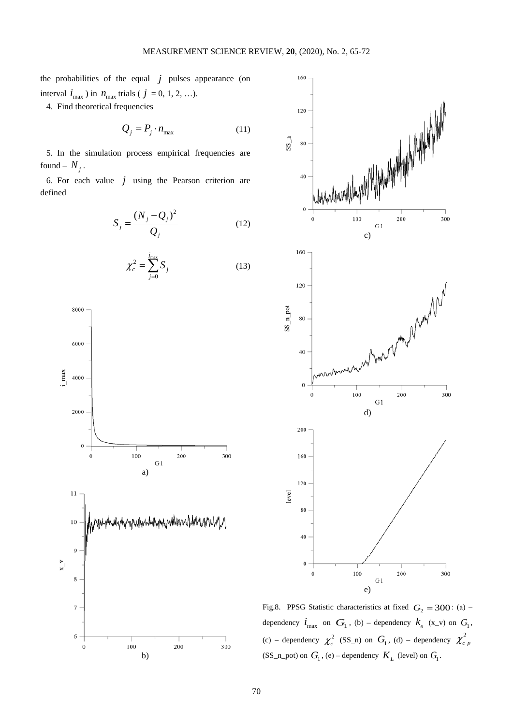the probabilities of the equal  $j$  pulses appearance (on interval  $i_{\text{max}}$ ) in  $n_{\text{max}}$  trials (  $j = 0, 1, 2, ...$ ).

4. Find theoretical frequencies

$$
Q_j = P_j \cdot n_{\text{max}} \tag{11}
$$

5. In the simulation process empirical frequencies are found –  $N_i$ .

6. For each value  $j$  using the Pearson criterion are defined

$$
S_j = \frac{(N_j - Q_j)^2}{Q_j}
$$
 (12)

$$
\chi_c^2 = \sum_{j=0}^{j_{\text{max}}} S_j \tag{13}
$$





Fig.8. PPSG Statistic characteristics at fixed  $G_2 = 300$ : (a) – dependency  $\boldsymbol{i}_{\text{max}}$  on  $\boldsymbol{G}_1$ , (b) – dependency  $\boldsymbol{k}_{\text{e}}$  (x\_v) on  $\boldsymbol{G}_1$ , (c) – dependency  $\chi_c^2$  (SS\_n) on  $G_1$ , (d) – dependency  $\chi_{c,p}^2$ (SS\_n\_pot) on  $G_1$ , (e) – dependency  $K_L$  (level) on  $G_1$ .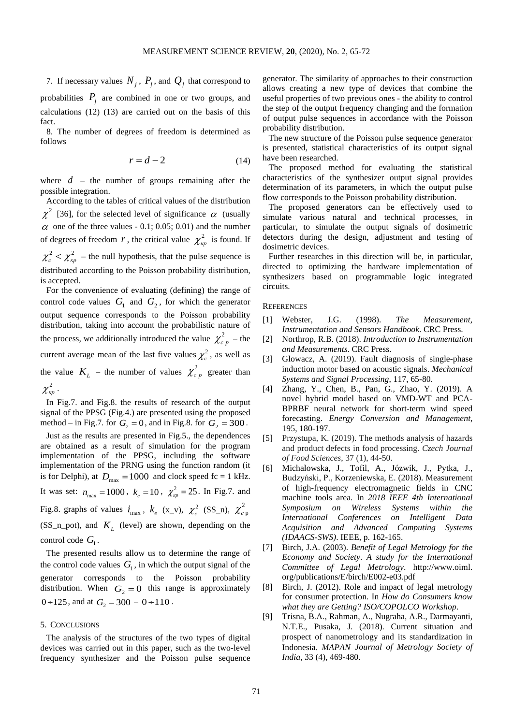7. If necessary values  $N_i$ ,  $P_j$ , and  $Q_j$  that correspond to probabilities  $P_i$  are combined in one or two groups, and calculations (12) (13) are carried out on the basis of this fact.

8. The number of degrees of freedom is determined as follows

$$
r = d - 2 \tag{14}
$$

where  $d$  – the number of groups remaining after the possible integration.

According to the tables of critical values of the distribution  $\chi^2$  [36], for the selected level of significance  $\alpha$  (usually  $\alpha$  one of the three values - 0.1; 0.05; 0.01) and the number of degrees of freedom *r*, the critical value  $\chi^2_{\kappa p}$  is found. If  $\chi_c^2 < \chi_{np}^2$  – the null hypothesis, that the pulse sequence is distributed according to the Poisson probability distribution,

is accepted. For the convenience of evaluating (defining) the range of control code values  $G_1$  and  $G_2$ , for which the generator output sequence corresponds to the Poisson probability distribution, taking into account the probabilistic nature of the process, we additionally introduced the value  $\chi^2_{c,p}$  – the current average mean of the last five values  $\chi_c^2$ , as well as the value  $K_L$  – the number of values  $\chi^2_{c,p}$  greater than  $\chi^2_{\kappa n}$  .

In Fig.7. and Fig.8. the results of research of the output signal of the PPSG (Fig.4.) are presented using the proposed method – in Fig.7. for  $G_2 = 0$ , and in Fig.8. for  $G_2 = 300$ . Just as the results are presented in Fig.5., the dependences are obtained as a result of simulation for the program implementation of the PPSG, including the software

implementation of the PRNG using the function random (it is for Delphi), at  $D_{\text{max}} = 1000$  and clock speed fc = 1 kHz. It was set:  $n_{\text{max}} = 1000$ ,  $k_c = 10$ ,  $\chi^2_{\text{wp}} = 25$ . In Fig.7. and Fig.8. graphs of values  $i_{\text{max}}$ ,  $k_{\text{e}}$  (x\_v),  $\chi^2_{\text{c}}$  (SS\_n),  $\chi^2_{\text{c}}$  p  $(SS_n_pot)$ , and  $K_i$  (level) are shown, depending on the control code  $G_1$ .

The presented results allow us to determine the range of the control code values  $G_1$ , in which the output signal of the generator corresponds to the Poisson probability distribution. When  $G_2 = 0$  this range is approximately  $0 \div 125$ , and at  $G_2 = 300 - 0 \div 110$ .

## 5. CONCLUSIONS

The analysis of the structures of the two types of digital devices was carried out in this paper, such as the two-level frequency synthesizer and the Poisson pulse sequence

generator. The similarity of approaches to their construction allows creating a new type of devices that combine the useful properties of two previous ones - the ability to control the step of the output frequency changing and the formation of output pulse sequences in accordance with the Poisson probability distribution.

The new structure of the Poisson pulse sequence generator is presented, statistical characteristics of its output signal have been researched.

The proposed method for evaluating the statistical characteristics of the synthesizer output signal provides determination of its parameters, in which the output pulse flow corresponds to the Poisson probability distribution.

The proposed generators can be effectively used to simulate various natural and technical processes, in particular, to simulate the output signals of dosimetric detectors during the design, adjustment and testing of dosimetric devices.

Further researches in this direction will be, in particular, directed to optimizing the hardware implementation of synthesizers based on programmable logic integrated circuits.

**REFERENCES** 

- [1] Webster, J.G. (1998). *The Measurement, Instrumentation and Sensors Handbook*. CRC Press.
- [2] Northrop, R.B. (2018). *Introduction to Instrumentation and Measurements*. CRC Press.
- [3] Glowacz, A. (2019). Fault diagnosis of single-phase induction motor based on acoustic signals. *Mechanical Systems and Signal Processing*, 117, 65-80.
- [4] Zhang, Y., Chen, B., Pan, G., Zhao, Y. (2019). A novel hybrid model based on VMD-WT and PCA-BPRBF neural network for short-term wind speed forecasting. *Energy Conversion and Management*, 195, 180-197.
- [5] Przystupa, K. (2019). The methods analysis of hazards and product defects in food processing. *Czech Journal of Food Sciences*, 37 (1), 44-50.
- [6] Michalowska, J., Tofil, A., Józwik, J., Pytka, J., Budzyński, P., Korzeniewska, E. (2018). Measurement of high-frequency electromagnetic fields in CNC machine tools area. In *2018 IEEE 4th International Symposium on Wireless Systems within the International Conferences on Intelligent Data Acquisition and Advanced Computing Systems (IDAACS-SWS)*. IEEE, p. 162-165.
- [7] Birch, J.A. (2003). *Benefit of Legal Metrology for the Economy and Society*. *A study for the International Committee of Legal Metrology*. [http://www.](http://www/)oiml. org/publications/E/birch/E002-e03.pdf
- [8] Birch, J. (2012). Role and impact of legal metrology for consumer protection. In *How do Consumers know what they are Getting? ISO/COPOLCO Workshop*.
- [9] Trisna, B.A., Rahman, A., Nugraha, A.R., Darmayanti, N.T.E., Pusaka, J. (2018). Current situation and prospect of nanometrology and its standardization in Indonesia*. MAPAN Journal of Metrology Society of India*, 33 (4), 469-480.